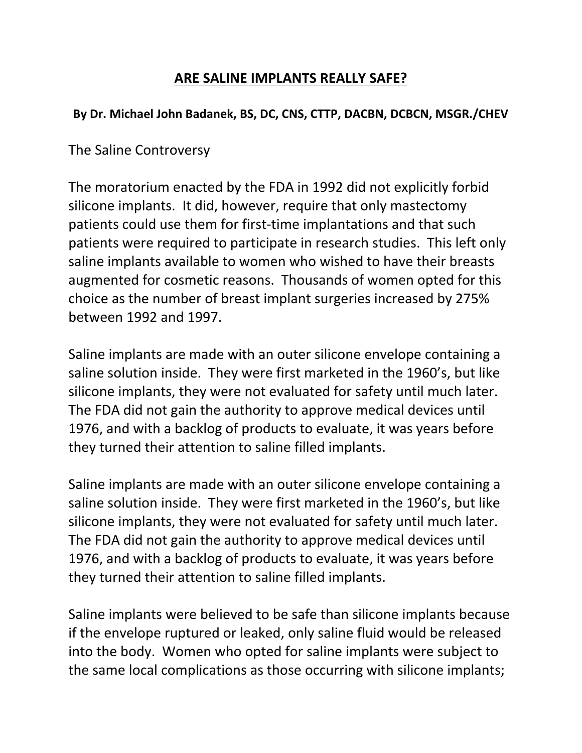## **ARE SALINE IMPLANTS REALLY SAFE?**

## **By Dr. Michael John Badanek, BS, DC, CNS, CTTP, DACBN, DCBCN, MSGR./CHEV**

The Saline Controversy

The moratorium enacted by the FDA in 1992 did not explicitly forbid silicone implants. It did, however, require that only mastectomy patients could use them for first-time implantations and that such patients were required to participate in research studies. This left only saline implants available to women who wished to have their breasts augmented for cosmetic reasons. Thousands of women opted for this choice as the number of breast implant surgeries increased by 275% between 1992 and 1997.

Saline implants are made with an outer silicone envelope containing a saline solution inside. They were first marketed in the 1960's, but like silicone implants, they were not evaluated for safety until much later. The FDA did not gain the authority to approve medical devices until 1976, and with a backlog of products to evaluate, it was years before they turned their attention to saline filled implants.

Saline implants are made with an outer silicone envelope containing a saline solution inside. They were first marketed in the 1960's, but like silicone implants, they were not evaluated for safety until much later. The FDA did not gain the authority to approve medical devices until 1976, and with a backlog of products to evaluate, it was years before they turned their attention to saline filled implants.

Saline implants were believed to be safe than silicone implants because if the envelope ruptured or leaked, only saline fluid would be released into the body. Women who opted for saline implants were subject to the same local complications as those occurring with silicone implants;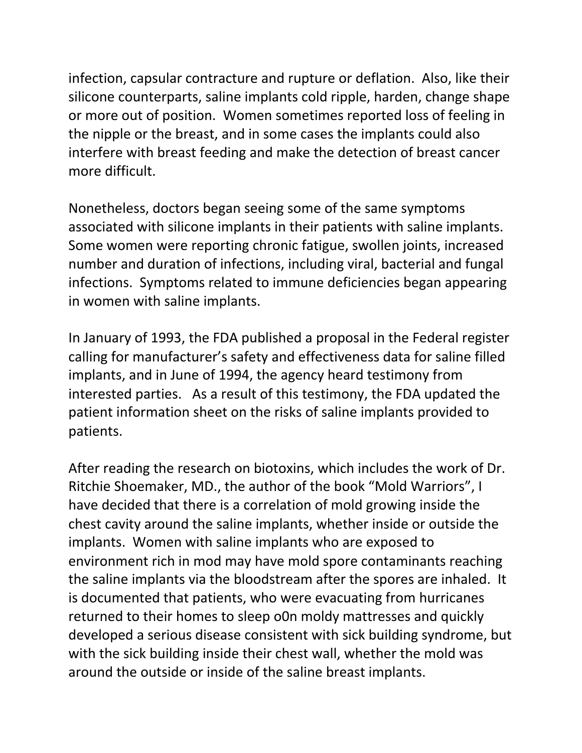infection, capsular contracture and rupture or deflation. Also, like their silicone counterparts, saline implants cold ripple, harden, change shape or more out of position. Women sometimes reported loss of feeling in the nipple or the breast, and in some cases the implants could also interfere with breast feeding and make the detection of breast cancer more difficult.

Nonetheless, doctors began seeing some of the same symptoms associated with silicone implants in their patients with saline implants. Some women were reporting chronic fatigue, swollen joints, increased number and duration of infections, including viral, bacterial and fungal infections. Symptoms related to immune deficiencies began appearing in women with saline implants.

In January of 1993, the FDA published a proposal in the Federal register calling for manufacturer's safety and effectiveness data for saline filled implants, and in June of 1994, the agency heard testimony from interested parties. As a result of this testimony, the FDA updated the patient information sheet on the risks of saline implants provided to patients.

After reading the research on biotoxins, which includes the work of Dr. Ritchie Shoemaker, MD., the author of the book "Mold Warriors", I have decided that there is a correlation of mold growing inside the chest cavity around the saline implants, whether inside or outside the implants. Women with saline implants who are exposed to environment rich in mod may have mold spore contaminants reaching the saline implants via the bloodstream after the spores are inhaled. It is documented that patients, who were evacuating from hurricanes returned to their homes to sleep o0n moldy mattresses and quickly developed a serious disease consistent with sick building syndrome, but with the sick building inside their chest wall, whether the mold was around the outside or inside of the saline breast implants.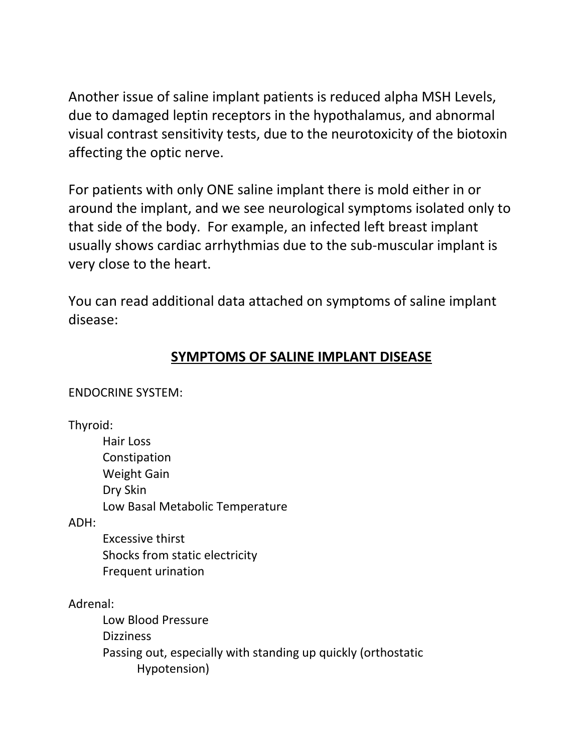Another issue of saline implant patients is reduced alpha MSH Levels, due to damaged leptin receptors in the hypothalamus, and abnormal visual contrast sensitivity tests, due to the neurotoxicity of the biotoxin affecting the optic nerve.

For patients with only ONE saline implant there is mold either in or around the implant, and we see neurological symptoms isolated only to that side of the body. For example, an infected left breast implant usually shows cardiac arrhythmias due to the sub-muscular implant is very close to the heart.

You can read additional data attached on symptoms of saline implant disease:

# **SYMPTOMS OF SALINE IMPLANT DISEASE**

ENDOCRINE SYSTEM:

Thyroid:

Hair Loss Constipation Weight Gain Dry Skin Low Basal Metabolic Temperature

ADH:

Excessive thirst Shocks from static electricity Frequent urination

Adrenal:

Low Blood Pressure Dizziness Passing out, especially with standing up quickly (orthostatic Hypotension)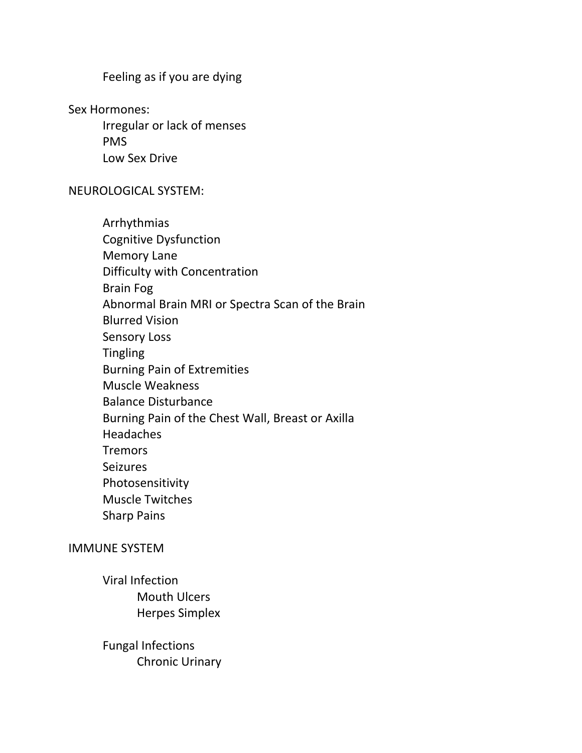Feeling as if you are dying

Sex Hormones:

Irregular or lack of menses PMS Low Sex Drive

### NEUROLOGICAL SYSTEM:

| Arrhythmias                                      |
|--------------------------------------------------|
| <b>Cognitive Dysfunction</b>                     |
| <b>Memory Lane</b>                               |
| Difficulty with Concentration                    |
| <b>Brain Fog</b>                                 |
| Abnormal Brain MRI or Spectra Scan of the Brain  |
| <b>Blurred Vision</b>                            |
| <b>Sensory Loss</b>                              |
| <b>Tingling</b>                                  |
| <b>Burning Pain of Extremities</b>               |
| <b>Muscle Weakness</b>                           |
| <b>Balance Disturbance</b>                       |
| Burning Pain of the Chest Wall, Breast or Axilla |
| <b>Headaches</b>                                 |
| <b>Tremors</b>                                   |
| <b>Seizures</b>                                  |
| Photosensitivity                                 |
| <b>Muscle Twitches</b>                           |
| <b>Sharp Pains</b>                               |
|                                                  |

#### IMMUNE SYSTEM

- Viral Infection Mouth Ulcers Herpes Simplex
- Fungal Infections Chronic Urinary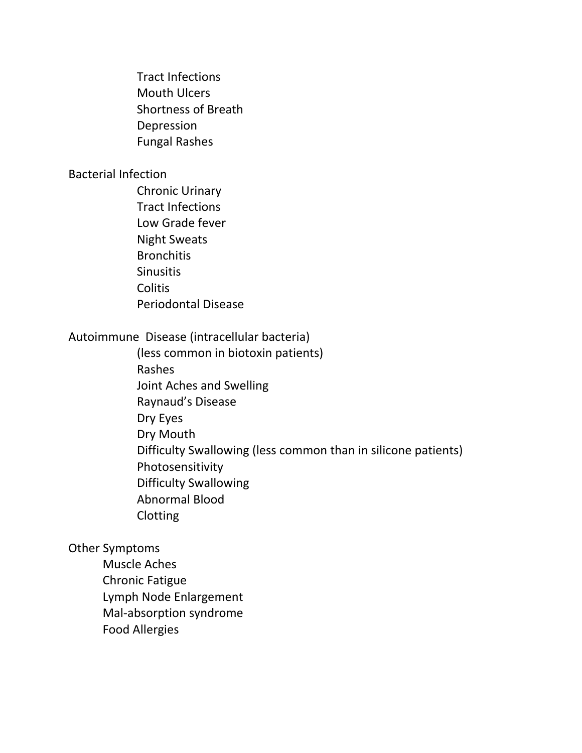Tract Infections Mouth Ulcers Shortness of Breath Depression Fungal Rashes

#### Bacterial Infection

Chronic Urinary Tract Infections Low Grade fever Night Sweats **Bronchitis Sinusitis Colitis** Periodontal Disease

### Autoimmune Disease (intracellular bacteria)

(less common in biotoxin patients) Rashes Joint Aches and Swelling Raynaud's Disease Dry Eyes Dry Mouth Difficulty Swallowing (less common than in silicone patients) Photosensitivity Difficulty Swallowing Abnormal Blood Clotting

Other Symptoms

Muscle Aches Chronic Fatigue Lymph Node Enlargement Mal-absorption syndrome Food Allergies